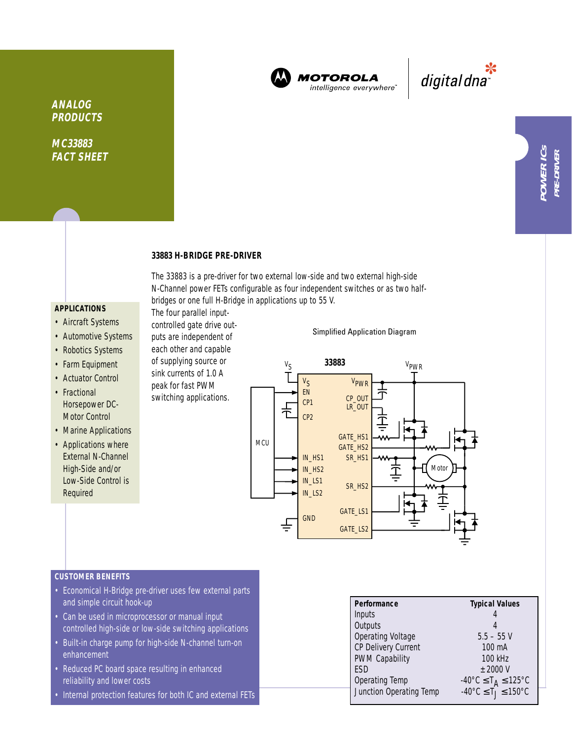

**MOTOROLA** intelligence everywhere"

\*<br>"digital dna

**MC33883 FACT SHEET**

## **33883 H-BRIDGE PRE-DRIVER**

The four parallel inputcontrolled gate drive outputs are independent of each other and capable of supplying source or sink currents of 1.0 A peak for fast PWM switching applications.

The 33883 is a pre-driver for two external low-side and two external high-side N-Channel power FETs configurable as four independent switches or as two halfbridges or one full H-Bridge in applications up to 55 V.

## **APPLICATIONS**

- Aircraft Systems
- Automotive Systems
- Robotics Systems
- Farm Equipment
- Actuator Control
- Fractional Horsepower DC-Motor Control
- Marine Applications
- Applications where External N-Channel High-Side and/or Low-Side Control is Required

Simplified Application Diagram



## **CUSTOMER BENEFITS**

- Economical H-Bridge pre-driver uses few external parts and simple circuit hook-up
- Can be used in microprocessor or manual input controlled high-side or low-side switching applications
- Built-in charge pump for high-side N-channel turn-on enhancement
- Reduced PC board space resulting in enhanced reliability and lower costs
- Internal protection features for both IC and external FETs

| Performance             | <b>Typical Values</b>                                         |
|-------------------------|---------------------------------------------------------------|
| Inputs                  |                                                               |
| Outputs                 |                                                               |
| Operating Voltage       | $5.5 - 55$ V                                                  |
| CP Delivery Current     | $100 \text{ mA}$                                              |
| <b>PWM Capability</b>   | 100 kHz                                                       |
| ESD                     | $±$ 2000 V                                                    |
| Operating Temp          | $-40^{\circ}$ C $\leq$ T <sub>A</sub> $\leq$ 125 $^{\circ}$ C |
| Junction Operating Temp | $-40^{\circ}$ C $\leq$ T $\leq$ 150°C                         |
|                         |                                                               |